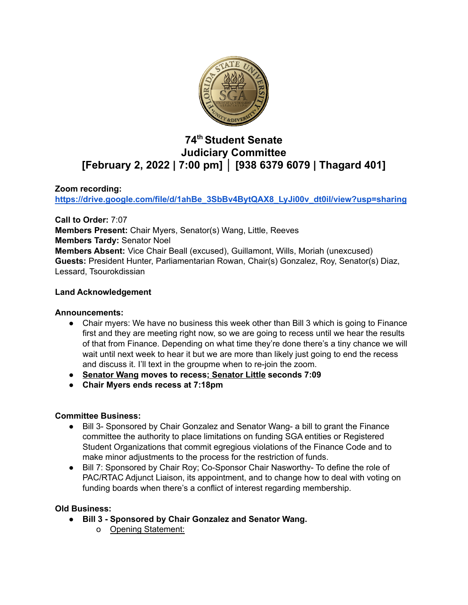

# **74 th Student Senate Judiciary Committee [February 2, 2022 | 7:00 pm] │ [938 6379 6079 | Thagard 401]**

# **Zoom recording:**

**[https://drive.google.com/file/d/1ahBe\\_3SbBv4BytQAX8\\_LyJi00v\\_dt0il/view?usp=sharing](https://drive.google.com/file/d/1ahBe_3SbBv4BytQAX8_LyJi00v_dt0il/view?usp=sharing)**

**Call to Order:** 7:07 **Members Present:** Chair Myers, Senator(s) Wang, Little, Reeves **Members Tardy:** Senator Noel **Members Absent:** Vice Chair Beall (excused), Guillamont, Wills, Moriah (unexcused) **Guests:** President Hunter, Parliamentarian Rowan, Chair(s) Gonzalez, Roy, Senator(s) Diaz, Lessard, Tsourokdissian

## **Land Acknowledgement**

## **Announcements:**

- Chair myers: We have no business this week other than Bill 3 which is going to Finance first and they are meeting right now, so we are going to recess until we hear the results of that from Finance. Depending on what time they're done there's a tiny chance we will wait until next week to hear it but we are more than likely just going to end the recess and discuss it. I'll text in the groupme when to re-join the zoom.
- **● Senator Wang moves to recess; Senator Little seconds 7:09**
- **● Chair Myers ends recess at 7:18pm**

## **Committee Business:**

- Bill 3- Sponsored by Chair Gonzalez and Senator Wang- a bill to grant the Finance committee the authority to place limitations on funding SGA entities or Registered Student Organizations that commit egregious violations of the Finance Code and to make minor adjustments to the process for the restriction of funds.
- Bill 7: Sponsored by Chair Roy; Co-Sponsor Chair Nasworthy- To define the role of PAC/RTAC Adjunct Liaison, its appointment, and to change how to deal with voting on funding boards when there's a conflict of interest regarding membership.

## **Old Business:**

- **● Bill 3 - Sponsored by Chair Gonzalez and Senator Wang.**
	- o Opening Statement: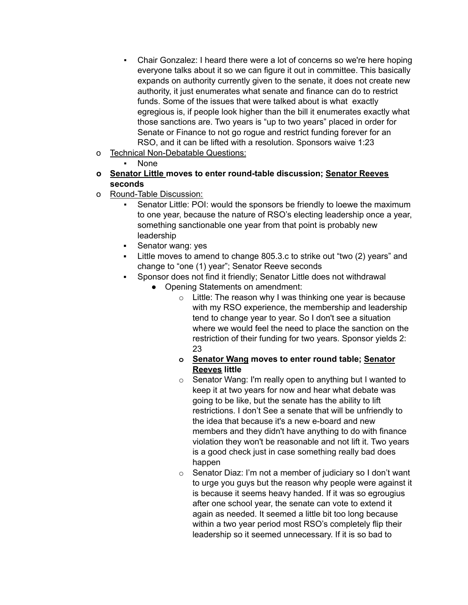- Chair Gonzalez: I heard there were a lot of concerns so we're here hoping everyone talks about it so we can figure it out in committee. This basically expands on authority currently given to the senate, it does not create new authority, it just enumerates what senate and finance can do to restrict funds. Some of the issues that were talked about is what exactly egregious is, if people look higher than the bill it enumerates exactly what those sanctions are. Two years is "up to two years" placed in order for Senate or Finance to not go rogue and restrict funding forever for an RSO, and it can be lifted with a resolution. Sponsors waive 1:23
- o Technical Non-Debatable Questions:

**None** 

- **o Senator Little moves to enter round-table discussion; Senator Reeves seconds**
- o Round-Table Discussion:
	- Senator Little: POI: would the sponsors be friendly to loewe the maximum to one year, because the nature of RSO's electing leadership once a year, something sanctionable one year from that point is probably new leadership
	- Senator wang: yes
	- Little moves to amend to change 805.3.c to strike out "two (2) years" and change to "one (1) year"; Senator Reeve seconds
	- Sponsor does not find it friendly; Senator Little does not withdrawal
		- Opening Statements on amendment:
			- $\circ$  Little: The reason why I was thinking one year is because with my RSO experience, the membership and leadership tend to change year to year. So I don't see a situation where we would feel the need to place the sanction on the restriction of their funding for two years. Sponsor yields 2: 23
			- **o Senator Wang moves to enter round table; Senator Reeves little**
			- $\circ$  Senator Wang: I'm really open to anything but I wanted to keep it at two years for now and hear what debate was going to be like, but the senate has the ability to lift restrictions. I don't See a senate that will be unfriendly to the idea that because it's a new e-board and new members and they didn't have anything to do with finance violation they won't be reasonable and not lift it. Two years is a good check just in case something really bad does happen
			- $\circ$  Senator Diaz: I'm not a member of judiciary so I don't want to urge you guys but the reason why people were against it is because it seems heavy handed. If it was so egrougius after one school year, the senate can vote to extend it again as needed. It seemed a little bit too long because within a two year period most RSO's completely flip their leadership so it seemed unnecessary. If it is so bad to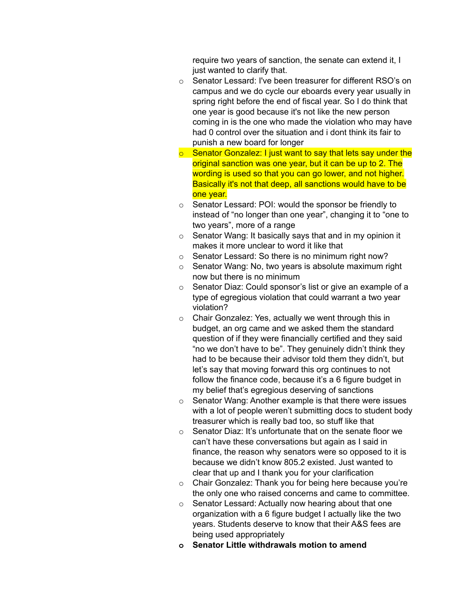require two years of sanction, the senate can extend it, I just wanted to clarify that.

- o Senator Lessard: I've been treasurer for different RSO's on campus and we do cycle our eboards every year usually in spring right before the end of fiscal year. So I do think that one year is good because it's not like the new person coming in is the one who made the violation who may have had 0 control over the situation and i dont think its fair to punish a new board for longer
- $\circ$  Senator Gonzalez: I just want to say that lets say under the original sanction was one year, but it can be up to 2. The wording is used so that you can go lower, and not higher. Basically it's not that deep, all sanctions would have to be one year.
- o Senator Lessard: POI: would the sponsor be friendly to instead of "no longer than one year", changing it to "one to two years", more of a range
- $\circ$  Senator Wang: It basically says that and in my opinion it makes it more unclear to word it like that
- o Senator Lessard: So there is no minimum right now?
- o Senator Wang: No, two years is absolute maximum right now but there is no minimum
- o Senator Diaz: Could sponsor's list or give an example of a type of egregious violation that could warrant a two year violation?
- o Chair Gonzalez: Yes, actually we went through this in budget, an org came and we asked them the standard question of if they were financially certified and they said "no we don't have to be". They genuinely didn't think they had to be because their advisor told them they didn't, but let's say that moving forward this org continues to not follow the finance code, because it's a 6 figure budget in my belief that's egregious deserving of sanctions
- o Senator Wang: Another example is that there were issues with a lot of people weren't submitting docs to student body treasurer which is really bad too, so stuff like that
- o Senator Diaz: It's unfortunate that on the senate floor we can't have these conversations but again as I said in finance, the reason why senators were so opposed to it is because we didn't know 805.2 existed. Just wanted to clear that up and I thank you for your clarification
- o Chair Gonzalez: Thank you for being here because you're the only one who raised concerns and came to committee.
- o Senator Lessard: Actually now hearing about that one organization with a 6 figure budget I actually like the two years. Students deserve to know that their A&S fees are being used appropriately
- **o Senator Little withdrawals motion to amend**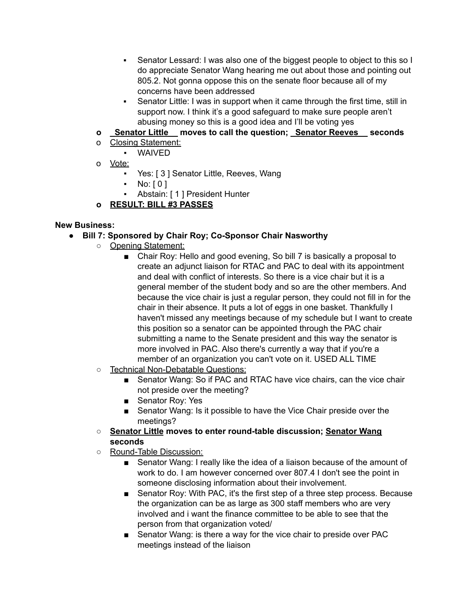- Senator Lessard: I was also one of the biggest people to object to this so I do appreciate Senator Wang hearing me out about those and pointing out 805.2. Not gonna oppose this on the senate floor because all of my concerns have been addressed
- Senator Little: I was in support when it came through the first time, still in support now. I think it's a good safeguard to make sure people aren't abusing money so this is a good idea and I'll be voting yes
- **o \_Senator Little\_\_ moves to call the question; \_Senator Reeves\_\_ seconds**
- o Closing Statement:
	- WAIVED
- o Vote:
	- Yes: [ 3 ] Senator Little, Reeves, Wang
	- $\blacksquare$  No: [0]
	- Abstain: [ 1 ] President Hunter
- **o RESULT: BILL #3 PASSES**

#### **New Business:**

- **● Bill 7: Sponsored by Chair Roy; Co-Sponsor Chair Nasworthy**
	- Opening Statement:
		- Chair Roy: Hello and good evening, So bill 7 is basically a proposal to create an adjunct liaison for RTAC and PAC to deal with its appointment and deal with conflict of interests. So there is a vice chair but it is a general member of the student body and so are the other members. And because the vice chair is just a regular person, they could not fill in for the chair in their absence. It puts a lot of eggs in one basket. Thankfully I haven't missed any meetings because of my schedule but I want to create this position so a senator can be appointed through the PAC chair submitting a name to the Senate president and this way the senator is more involved in PAC. Also there's currently a way that if you're a member of an organization you can't vote on it. USED ALL TIME
	- Technical Non-Debatable Questions:
		- Senator Wang: So if PAC and RTAC have vice chairs, can the vice chair not preside over the meeting?
		- Senator Roy: Yes
		- Senator Wang: Is it possible to have the Vice Chair preside over the meetings?
	- **○ Senator Little moves to enter round-table discussion; Senator Wang seconds**
	- Round-Table Discussion:
		- Senator Wang: I really like the idea of a liaison because of the amount of work to do. I am however concerned over 807.4 I don't see the point in someone disclosing information about their involvement.
		- Senator Roy: With PAC, it's the first step of a three step process. Because the organization can be as large as 300 staff members who are very involved and i want the finance committee to be able to see that the person from that organization voted/
		- Senator Wang: is there a way for the vice chair to preside over PAC meetings instead of the liaison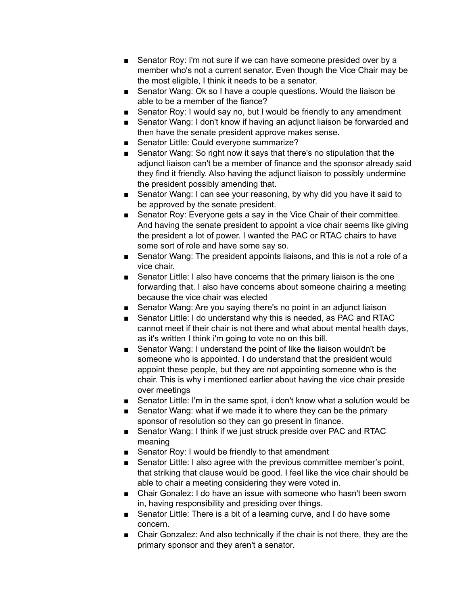- Senator Roy: I'm not sure if we can have someone presided over by a member who's not a current senator. Even though the Vice Chair may be the most eligible, I think it needs to be a senator.
- Senator Wang: Ok so I have a couple questions. Would the liaison be able to be a member of the fiance?
- Senator Roy: I would say no, but I would be friendly to any amendment
- Senator Wang: I don't know if having an adjunct liaison be forwarded and then have the senate president approve makes sense.
- Senator Little: Could everyone summarize?
- Senator Wang: So right now it says that there's no stipulation that the adjunct liaison can't be a member of finance and the sponsor already said they find it friendly. Also having the adjunct liaison to possibly undermine the president possibly amending that.
- Senator Wang: I can see your reasoning, by why did you have it said to be approved by the senate president.
- Senator Roy: Everyone gets a say in the Vice Chair of their committee. And having the senate president to appoint a vice chair seems like giving the president a lot of power. I wanted the PAC or RTAC chairs to have some sort of role and have some say so.
- Senator Wang: The president appoints liaisons, and this is not a role of a vice chair.
- Senator Little: I also have concerns that the primary liaison is the one forwarding that. I also have concerns about someone chairing a meeting because the vice chair was elected
- Senator Wang: Are you saying there's no point in an adjunct liaison
- Senator Little: I do understand why this is needed, as PAC and RTAC cannot meet if their chair is not there and what about mental health days, as it's written I think i'm going to vote no on this bill.
- Senator Wang: I understand the point of like the liaison wouldn't be someone who is appointed. I do understand that the president would appoint these people, but they are not appointing someone who is the chair. This is why i mentioned earlier about having the vice chair preside over meetings
- Senator Little: I'm in the same spot, i don't know what a solution would be
- Senator Wang: what if we made it to where they can be the primary sponsor of resolution so they can go present in finance.
- Senator Wang: I think if we just struck preside over PAC and RTAC meaning
- Senator Roy: I would be friendly to that amendment
- Senator Little: I also agree with the previous committee member's point, that striking that clause would be good. I feel like the vice chair should be able to chair a meeting considering they were voted in.
- Chair Gonalez: I do have an issue with someone who hasn't been sworn in, having responsibility and presiding over things.
- Senator Little: There is a bit of a learning curve, and I do have some concern.
- Chair Gonzalez: And also technically if the chair is not there, they are the primary sponsor and they aren't a senator.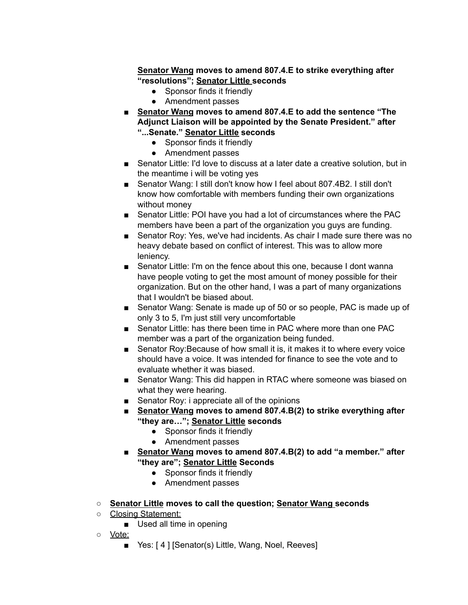**Senator Wang moves to amend 807.4.E to strike everything after "resolutions"; Senator Little seconds**

- Sponsor finds it friendly
- Amendment passes
- **Senator Wang moves to amend 807.4.E to add the sentence "The Adjunct Liaison will be appointed by the Senate President." after "...Senate." Senator Little seconds**
	- Sponsor finds it friendly
	- Amendment passes
- Senator Little: I'd love to discuss at a later date a creative solution, but in the meantime i will be voting yes
- Senator Wang: I still don't know how I feel about 807.4B2. I still don't know how comfortable with members funding their own organizations without money
- Senator Little: POI have you had a lot of circumstances where the PAC members have been a part of the organization you guys are funding.
- Senator Roy: Yes, we've had incidents. As chair I made sure there was no heavy debate based on conflict of interest. This was to allow more leniency.
- Senator Little: I'm on the fence about this one, because I dont wanna have people voting to get the most amount of money possible for their organization. But on the other hand, I was a part of many organizations that I wouldn't be biased about.
- Senator Wang: Senate is made up of 50 or so people, PAC is made up of only 3 to 5, I'm just still very uncomfortable
- Senator Little: has there been time in PAC where more than one PAC member was a part of the organization being funded.
- Senator Roy: Because of how small it is, it makes it to where every voice should have a voice. It was intended for finance to see the vote and to evaluate whether it was biased.
- Senator Wang: This did happen in RTAC where someone was biased on what they were hearing.
- Senator Roy: i appreciate all of the opinions
- **■ Senator Wang moves to amend 807.4.B(2) to strike everything after "they are…"; Senator Little seconds**
	- Sponsor finds it friendly
	- Amendment passes
- **■ Senator Wang moves to amend 807.4.B(2) to add "a member." after "they are"; Senator Little Seconds**
	- Sponsor finds it friendly
	- Amendment passes
- **Senator Little moves to call the question; Senator Wang seconds**
- Closing Statement:
	- Used all time in opening
- Vote:
	- Yes: [4] [Senator(s) Little, Wang, Noel, Reeves]